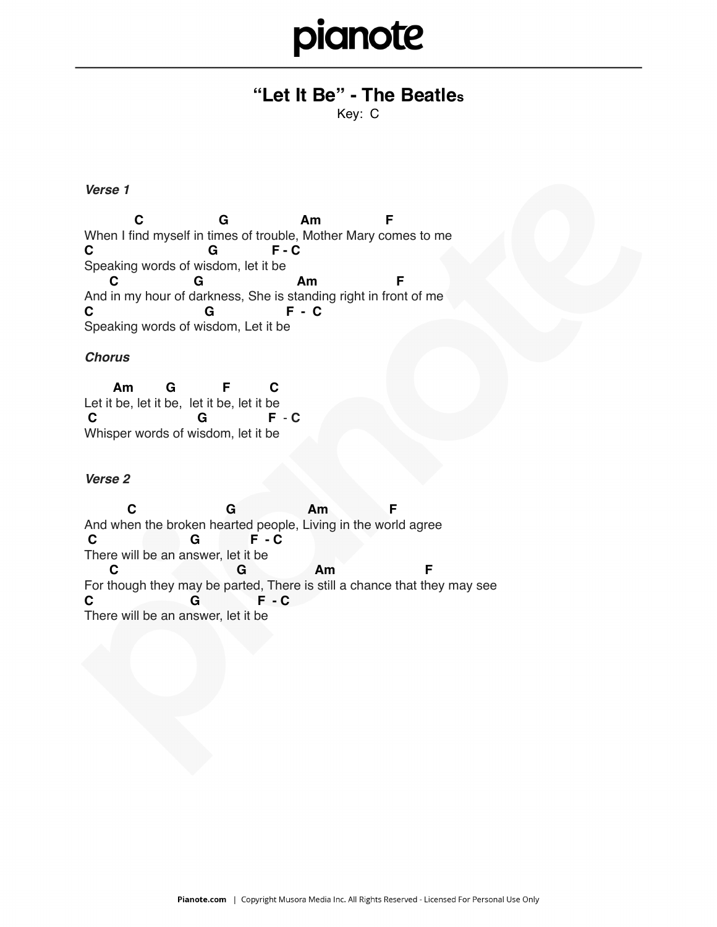## pianote

### **"Let It Be" - The Beatles**

Key: C

#### *Verse 1*

 **C G Am F** When I find myself in times of trouble, Mother Mary comes to me **C G F - C** Speaking words of wisdom, let it be **C G Am F** And in my hour of darkness, She is standing right in front of me **C G F - C** Speaking words of wisdom, Let it be

#### *Chorus*

 **Am G F C** Let it be, let it be, let it be, let it be  **C G F** - **C**  Whisper words of wisdom, let it be

#### *Verse 2*

 **C G Am F** And when the broken hearted people, Living in the world agree  **C G F - C** There will be an answer, let it be **C G Am F** For though they may be parted, There is still a chance that they may see **C G F - C** There will be an answer, let it be